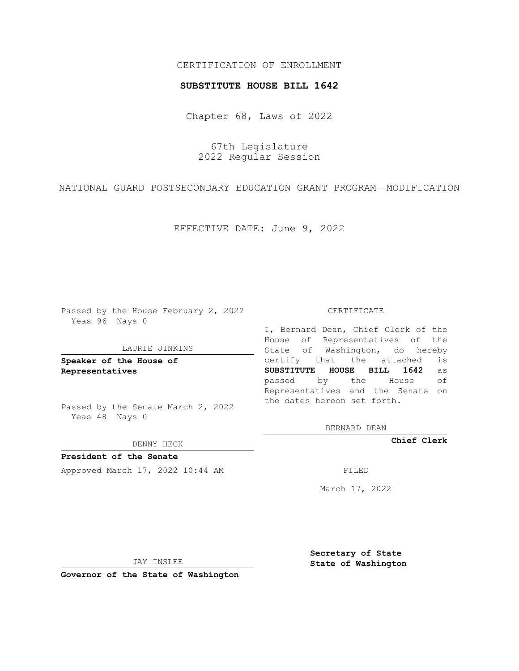# CERTIFICATION OF ENROLLMENT

### **SUBSTITUTE HOUSE BILL 1642**

Chapter 68, Laws of 2022

67th Legislature 2022 Regular Session

NATIONAL GUARD POSTSECONDARY EDUCATION GRANT PROGRAM—MODIFICATION

EFFECTIVE DATE: June 9, 2022

Passed by the House February 2, 2022 Yeas 96 Nays 0

#### LAURIE JINKINS

**Speaker of the House of Representatives**

Passed by the Senate March 2, 2022 Yeas 48 Nays 0

DENNY HECK

**President of the Senate** Approved March 17, 2022 10:44 AM FILED

CERTIFICATE

I, Bernard Dean, Chief Clerk of the House of Representatives of the State of Washington, do hereby certify that the attached is **SUBSTITUTE HOUSE BILL 1642** as passed by the House of Representatives and the Senate on the dates hereon set forth.

BERNARD DEAN

**Chief Clerk**

March 17, 2022

JAY INSLEE

**Governor of the State of Washington**

**Secretary of State State of Washington**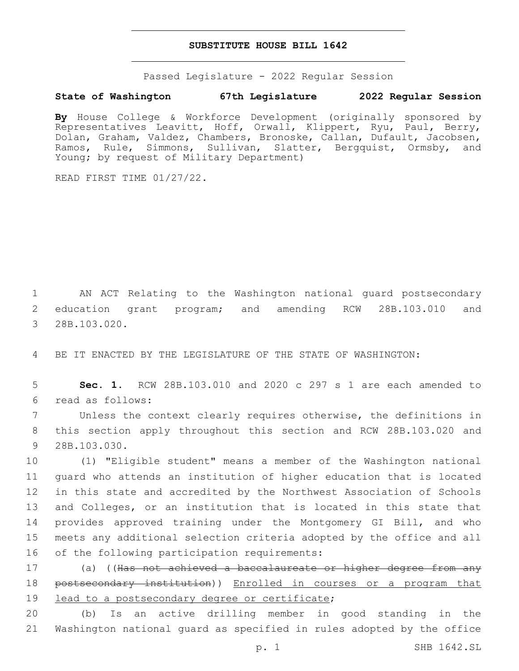## **SUBSTITUTE HOUSE BILL 1642**

Passed Legislature - 2022 Regular Session

# **State of Washington 67th Legislature 2022 Regular Session**

**By** House College & Workforce Development (originally sponsored by Representatives Leavitt, Hoff, Orwall, Klippert, Ryu, Paul, Berry, Dolan, Graham, Valdez, Chambers, Bronoske, Callan, Dufault, Jacobsen, Ramos, Rule, Simmons, Sullivan, Slatter, Bergquist, Ormsby, and Young; by request of Military Department)

READ FIRST TIME 01/27/22.

1 AN ACT Relating to the Washington national guard postsecondary 2 education grant program; and amending RCW 28B.103.010 and 3 28B.103.020.

4 BE IT ENACTED BY THE LEGISLATURE OF THE STATE OF WASHINGTON:

5 **Sec. 1.** RCW 28B.103.010 and 2020 c 297 s 1 are each amended to read as follows:6

7 Unless the context clearly requires otherwise, the definitions in 8 this section apply throughout this section and RCW 28B.103.020 and 9 28B.103.030.

 (1) "Eligible student" means a member of the Washington national guard who attends an institution of higher education that is located in this state and accredited by the Northwest Association of Schools 13 and Colleges, or an institution that is located in this state that provides approved training under the Montgomery GI Bill, and who meets any additional selection criteria adopted by the office and all 16 of the following participation requirements:

17 (a) ((Has not achieved a baccalaureate or higher degree from any 18 postsecondary institution)) Enrolled in courses or a program that 19 lead to a postsecondary degree or certificate;

20 (b) Is an active drilling member in good standing in the 21 Washington national guard as specified in rules adopted by the office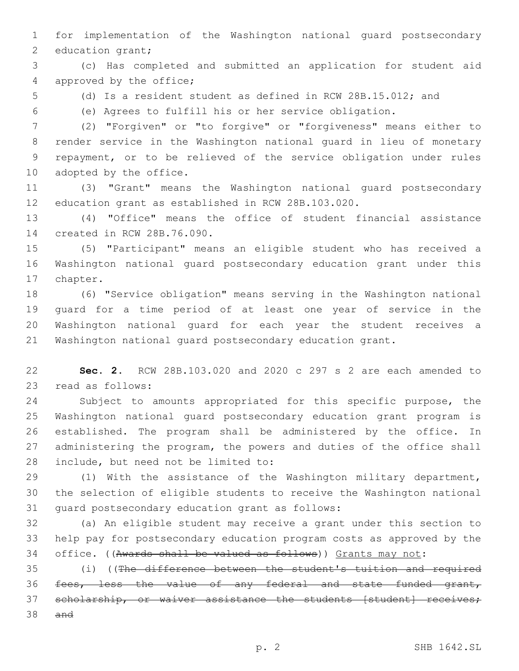for implementation of the Washington national guard postsecondary 2 education grant;

 (c) Has completed and submitted an application for student aid 4 approved by the office;

(d) Is a resident student as defined in RCW 28B.15.012; and

(e) Agrees to fulfill his or her service obligation.

 (2) "Forgiven" or "to forgive" or "forgiveness" means either to render service in the Washington national guard in lieu of monetary repayment, or to be relieved of the service obligation under rules 10 adopted by the office.

 (3) "Grant" means the Washington national guard postsecondary education grant as established in RCW 28B.103.020.

 (4) "Office" means the office of student financial assistance 14 created in RCW 28B.76.090.

 (5) "Participant" means an eligible student who has received a Washington national guard postsecondary education grant under this 17 chapter.

 (6) "Service obligation" means serving in the Washington national guard for a time period of at least one year of service in the Washington national guard for each year the student receives a Washington national guard postsecondary education grant.

 **Sec. 2.** RCW 28B.103.020 and 2020 c 297 s 2 are each amended to 23 read as follows:

 Subject to amounts appropriated for this specific purpose, the Washington national guard postsecondary education grant program is established. The program shall be administered by the office. In administering the program, the powers and duties of the office shall 28 include, but need not be limited to:

 (1) With the assistance of the Washington military department, the selection of eligible students to receive the Washington national 31 quard postsecondary education grant as follows:

 (a) An eligible student may receive a grant under this section to help pay for postsecondary education program costs as approved by the office. ((Awards shall be valued as follows)) Grants may not:

 (i) ((The difference between the student's tuition and required fees, less the value of any federal and state funded grant, 37 scholarship, or waiver assistance the students [student] receives; and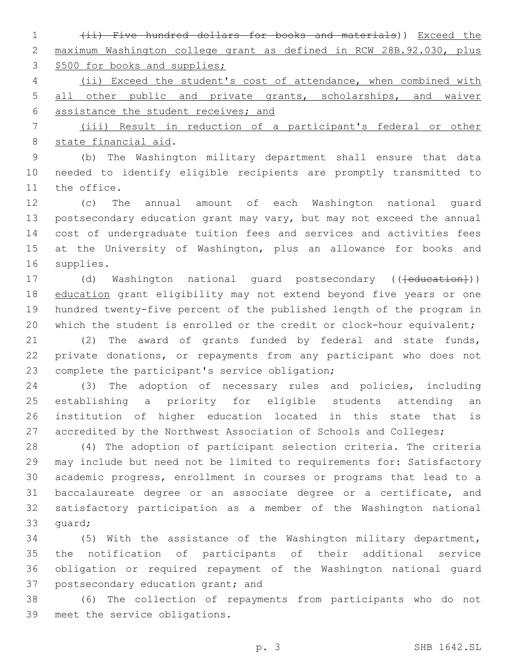(ii) Five hundred dollars for books and materials)) Exceed the maximum Washington college grant as defined in RCW 28B.92.030, plus 3 \$500 for books and supplies;

 (ii) Exceed the student's cost of attendance, when combined with all other public and private grants, scholarships, and waiver assistance the student receives; and

 (iii) Result in reduction of a participant's federal or other 8 state financial aid.

 (b) The Washington military department shall ensure that data needed to identify eligible recipients are promptly transmitted to 11 the office.

 (c) The annual amount of each Washington national guard postsecondary education grant may vary, but may not exceed the annual cost of undergraduate tuition fees and services and activities fees at the University of Washington, plus an allowance for books and 16 supplies.

17 (d) Washington national guard postsecondary ((<del>[education]</del>)) 18 education grant eligibility may not extend beyond five years or one hundred twenty-five percent of the published length of the program in 20 which the student is enrolled or the credit or clock-hour equivalent;

 (2) The award of grants funded by federal and state funds, private donations, or repayments from any participant who does not 23 complete the participant's service obligation;

 (3) The adoption of necessary rules and policies, including establishing a priority for eligible students attending an institution of higher education located in this state that is 27 accredited by the Northwest Association of Schools and Colleges;

 (4) The adoption of participant selection criteria. The criteria may include but need not be limited to requirements for: Satisfactory academic progress, enrollment in courses or programs that lead to a baccalaureate degree or an associate degree or a certificate, and satisfactory participation as a member of the Washington national 33 quard;

 (5) With the assistance of the Washington military department, the notification of participants of their additional service obligation or required repayment of the Washington national guard 37 postsecondary education grant; and

 (6) The collection of repayments from participants who do not 39 meet the service obligations.